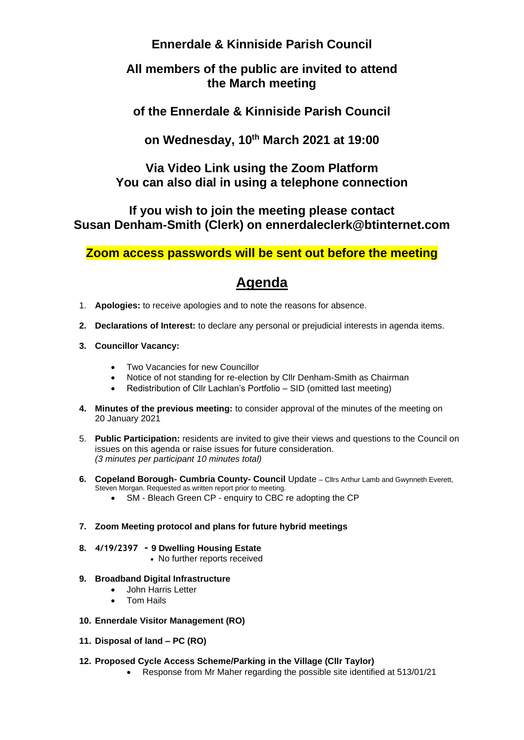# **Ennerdale & Kinniside Parish Council**

# **All members of the public are invited to attend the March meeting**

**of the Ennerdale & Kinniside Parish Council**

**on Wednesday, 10th March 2021 at 19:00**

**Via Video Link using the Zoom Platform You can also dial in using a telephone connection**

**If you wish to join the meeting please contact Susan Denham-Smith (Clerk) on ennerdaleclerk@btinternet.com**

**Zoom access passwords will be sent out before the meeting**

# **Agenda**

- 1. **Apologies:** to receive apologies and to note the reasons for absence.
- **2. Declarations of Interest:** to declare any personal or prejudicial interests in agenda items.
- **3. Councillor Vacancy:**
	- Two Vacancies for new Councillor
	- Notice of not standing for re-election by Cllr Denham-Smith as Chairman
	- Redistribution of Cllr Lachlan's Portfolio SID (omitted last meeting)
- **4. Minutes of the previous meeting:** to consider approval of the minutes of the meeting on 20 January 2021
- 5. **Public Participation:** residents are invited to give their views and questions to the Council on issues on this agenda or raise issues for future consideration. *(3 minutes per participant 10 minutes total)*
- **6. Copeland Borough- Cumbria County- Council** Update Cllrs Arthur Lamb and Gwynneth Everett, Steven Morgan. Requested as written report prior to meeting.
	- SM Bleach Green CP enquiry to CBC re adopting the CP

# **7. Zoom Meeting protocol and plans for future hybrid meetings**

- **8. 4/19/2397 - 9 Dwelling Housing Estate**
	- No further reports received

# **9. Broadband Digital Infrastructure**

- John Harris Letter
- Tom Hails
- **10. Ennerdale Visitor Management (RO)**
- **11. Disposal of land – PC (RO)**

# **12. Proposed Cycle Access Scheme/Parking in the Village (Cllr Taylor)**

• Response from Mr Maher regarding the possible site identified at 513/01/21